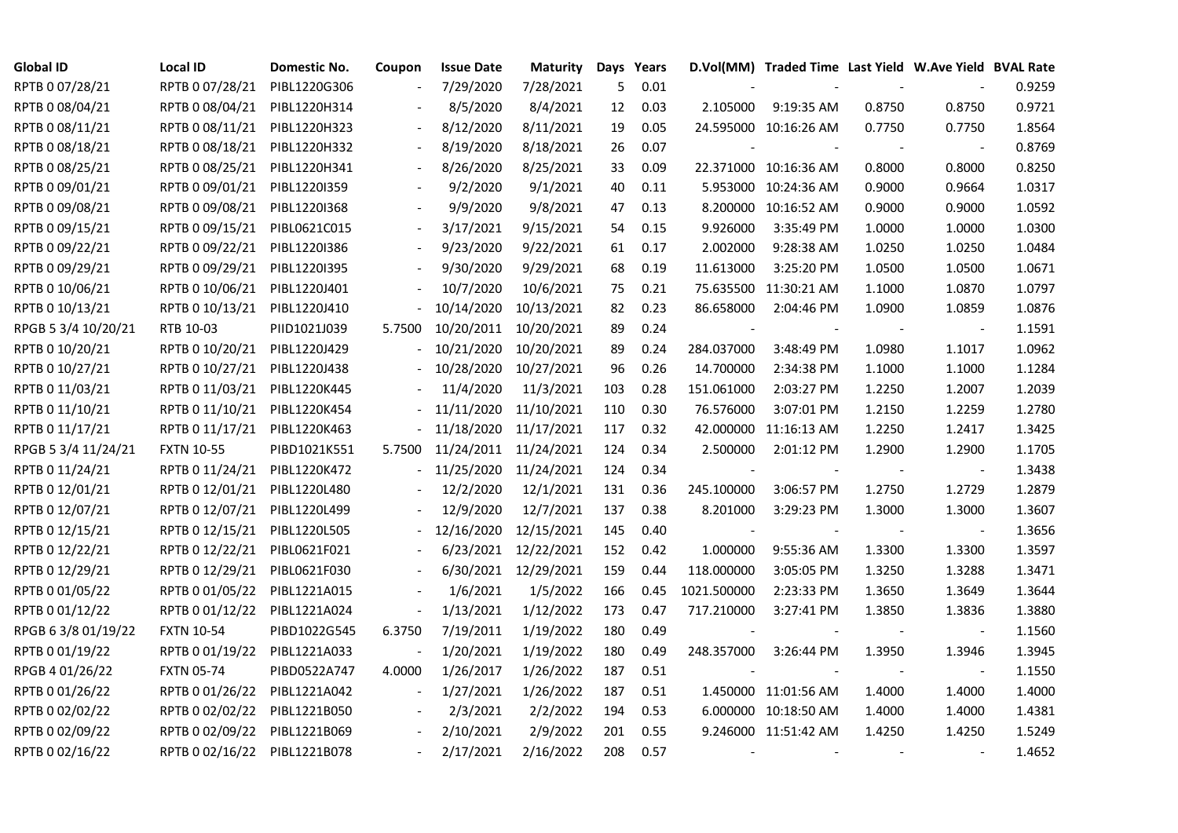| <b>Global ID</b>    | <b>Local ID</b>   | Domestic No. | Coupon                   | <b>Issue Date</b>     | <b>Maturity</b>      |     | Days Years |                          | D.Vol(MM) Traded Time Last Yield W.Ave Yield BVAL Rate |        |                |        |
|---------------------|-------------------|--------------|--------------------------|-----------------------|----------------------|-----|------------|--------------------------|--------------------------------------------------------|--------|----------------|--------|
| RPTB 0 07/28/21     | RPTB 0 07/28/21   | PIBL1220G306 |                          | 7/29/2020             | 7/28/2021            | 5   | 0.01       |                          |                                                        |        |                | 0.9259 |
| RPTB 0 08/04/21     | RPTB 0 08/04/21   | PIBL1220H314 |                          | 8/5/2020              | 8/4/2021             | 12  | 0.03       | 2.105000                 | 9:19:35 AM                                             | 0.8750 | 0.8750         | 0.9721 |
| RPTB 0 08/11/21     | RPTB 0 08/11/21   | PIBL1220H323 |                          | 8/12/2020             | 8/11/2021            | 19  | 0.05       |                          | 24.595000 10:16:26 AM                                  | 0.7750 | 0.7750         | 1.8564 |
| RPTB 0 08/18/21     | RPTB 0 08/18/21   | PIBL1220H332 | $\blacksquare$           | 8/19/2020             | 8/18/2021            | 26  | 0.07       |                          |                                                        |        |                | 0.8769 |
| RPTB 0 08/25/21     | RPTB 0 08/25/21   | PIBL1220H341 |                          | 8/26/2020             | 8/25/2021            | 33  | 0.09       |                          | 22.371000 10:16:36 AM                                  | 0.8000 | 0.8000         | 0.8250 |
| RPTB 0 09/01/21     | RPTB 0 09/01/21   | PIBL1220I359 |                          | 9/2/2020              | 9/1/2021             | 40  | 0.11       |                          | 5.953000 10:24:36 AM                                   | 0.9000 | 0.9664         | 1.0317 |
| RPTB 0 09/08/21     | RPTB 0 09/08/21   | PIBL1220I368 |                          | 9/9/2020              | 9/8/2021             | 47  | 0.13       |                          | 8.200000 10:16:52 AM                                   | 0.9000 | 0.9000         | 1.0592 |
| RPTB 0 09/15/21     | RPTB 0 09/15/21   | PIBL0621C015 | $\overline{\phantom{a}}$ | 3/17/2021             | 9/15/2021            | 54  | 0.15       | 9.926000                 | 3:35:49 PM                                             | 1.0000 | 1.0000         | 1.0300 |
| RPTB 0 09/22/21     | RPTB 0 09/22/21   | PIBL1220I386 |                          | 9/23/2020             | 9/22/2021            | 61  | 0.17       | 2.002000                 | 9:28:38 AM                                             | 1.0250 | 1.0250         | 1.0484 |
| RPTB 0 09/29/21     | RPTB 0 09/29/21   | PIBL1220I395 |                          | 9/30/2020             | 9/29/2021            | 68  | 0.19       | 11.613000                | 3:25:20 PM                                             | 1.0500 | 1.0500         | 1.0671 |
| RPTB 0 10/06/21     | RPTB 0 10/06/21   | PIBL1220J401 | $\overline{\phantom{a}}$ | 10/7/2020             | 10/6/2021            | 75  | 0.21       |                          | 75.635500 11:30:21 AM                                  | 1.1000 | 1.0870         | 1.0797 |
| RPTB 0 10/13/21     | RPTB 0 10/13/21   | PIBL1220J410 |                          | 10/14/2020            | 10/13/2021           | 82  | 0.23       | 86.658000                | 2:04:46 PM                                             | 1.0900 | 1.0859         | 1.0876 |
| RPGB 5 3/4 10/20/21 | RTB 10-03         | PIID1021J039 | 5.7500                   | 10/20/2011 10/20/2021 |                      | 89  | 0.24       |                          |                                                        |        | $\blacksquare$ | 1.1591 |
| RPTB 0 10/20/21     | RPTB 0 10/20/21   | PIBL1220J429 |                          | 10/21/2020            | 10/20/2021           | 89  | 0.24       | 284.037000               | 3:48:49 PM                                             | 1.0980 | 1.1017         | 1.0962 |
| RPTB 0 10/27/21     | RPTB 0 10/27/21   | PIBL1220J438 |                          | 10/28/2020            | 10/27/2021           | 96  | 0.26       | 14.700000                | 2:34:38 PM                                             | 1.1000 | 1.1000         | 1.1284 |
| RPTB 0 11/03/21     | RPTB 0 11/03/21   | PIBL1220K445 |                          | 11/4/2020             | 11/3/2021            | 103 | 0.28       | 151.061000               | 2:03:27 PM                                             | 1.2250 | 1.2007         | 1.2039 |
| RPTB 0 11/10/21     | RPTB 0 11/10/21   | PIBL1220K454 |                          | 11/11/2020            | 11/10/2021           | 110 | 0.30       | 76.576000                | 3:07:01 PM                                             | 1.2150 | 1.2259         | 1.2780 |
| RPTB 0 11/17/21     | RPTB 0 11/17/21   | PIBL1220K463 | $\blacksquare$           | 11/18/2020            | 11/17/2021           | 117 | 0.32       |                          | 42.000000 11:16:13 AM                                  | 1.2250 | 1.2417         | 1.3425 |
| RPGB 5 3/4 11/24/21 | <b>FXTN 10-55</b> | PIBD1021K551 | 5.7500                   | 11/24/2011            | 11/24/2021           | 124 | 0.34       | 2.500000                 | 2:01:12 PM                                             | 1.2900 | 1.2900         | 1.1705 |
| RPTB 0 11/24/21     | RPTB 0 11/24/21   | PIBL1220K472 |                          | 11/25/2020            | 11/24/2021           | 124 | 0.34       | $\overline{\phantom{a}}$ |                                                        |        | $\blacksquare$ | 1.3438 |
| RPTB 0 12/01/21     | RPTB 0 12/01/21   | PIBL1220L480 |                          | 12/2/2020             | 12/1/2021            | 131 | 0.36       | 245.100000               | 3:06:57 PM                                             | 1.2750 | 1.2729         | 1.2879 |
| RPTB 0 12/07/21     | RPTB 0 12/07/21   | PIBL1220L499 |                          | 12/9/2020             | 12/7/2021            | 137 | 0.38       | 8.201000                 | 3:29:23 PM                                             | 1.3000 | 1.3000         | 1.3607 |
| RPTB 0 12/15/21     | RPTB 0 12/15/21   | PIBL1220L505 |                          | 12/16/2020            | 12/15/2021           | 145 | 0.40       |                          |                                                        |        |                | 1.3656 |
| RPTB 0 12/22/21     | RPTB 0 12/22/21   | PIBL0621F021 |                          | 6/23/2021             | 12/22/2021           | 152 | 0.42       | 1.000000                 | 9:55:36 AM                                             | 1.3300 | 1.3300         | 1.3597 |
| RPTB 0 12/29/21     | RPTB 0 12/29/21   | PIBL0621F030 | $\overline{\phantom{a}}$ |                       | 6/30/2021 12/29/2021 | 159 | 0.44       | 118.000000               | 3:05:05 PM                                             | 1.3250 | 1.3288         | 1.3471 |
| RPTB 0 01/05/22     | RPTB 0 01/05/22   | PIBL1221A015 |                          | 1/6/2021              | 1/5/2022             | 166 | 0.45       | 1021.500000              | 2:23:33 PM                                             | 1.3650 | 1.3649         | 1.3644 |
| RPTB 0 01/12/22     | RPTB 0 01/12/22   | PIBL1221A024 | $\blacksquare$           | 1/13/2021             | 1/12/2022            | 173 | 0.47       | 717.210000               | 3:27:41 PM                                             | 1.3850 | 1.3836         | 1.3880 |
| RPGB 6 3/8 01/19/22 | <b>FXTN 10-54</b> | PIBD1022G545 | 6.3750                   | 7/19/2011             | 1/19/2022            | 180 | 0.49       | $\blacksquare$           |                                                        |        | $\blacksquare$ | 1.1560 |
| RPTB 0 01/19/22     | RPTB 0 01/19/22   | PIBL1221A033 | $\overline{\phantom{a}}$ | 1/20/2021             | 1/19/2022            | 180 | 0.49       | 248.357000               | 3:26:44 PM                                             | 1.3950 | 1.3946         | 1.3945 |
| RPGB 4 01/26/22     | <b>FXTN 05-74</b> | PIBD0522A747 | 4.0000                   | 1/26/2017             | 1/26/2022            | 187 | 0.51       |                          |                                                        |        |                | 1.1550 |
| RPTB 0 01/26/22     | RPTB 0 01/26/22   | PIBL1221A042 | $\overline{\phantom{a}}$ | 1/27/2021             | 1/26/2022            | 187 | 0.51       |                          | 1.450000 11:01:56 AM                                   | 1.4000 | 1.4000         | 1.4000 |
| RPTB 0 02/02/22     | RPTB 0 02/02/22   | PIBL1221B050 |                          | 2/3/2021              | 2/2/2022             | 194 | 0.53       |                          | 6.000000 10:18:50 AM                                   | 1.4000 | 1.4000         | 1.4381 |
| RPTB 0 02/09/22     | RPTB 0 02/09/22   | PIBL1221B069 |                          | 2/10/2021             | 2/9/2022             | 201 | 0.55       |                          | 9.246000 11:51:42 AM                                   | 1.4250 | 1.4250         | 1.5249 |
| RPTB 0 02/16/22     | RPTB 0 02/16/22   | PIBL1221B078 |                          | 2/17/2021             | 2/16/2022            | 208 | 0.57       |                          |                                                        |        |                | 1.4652 |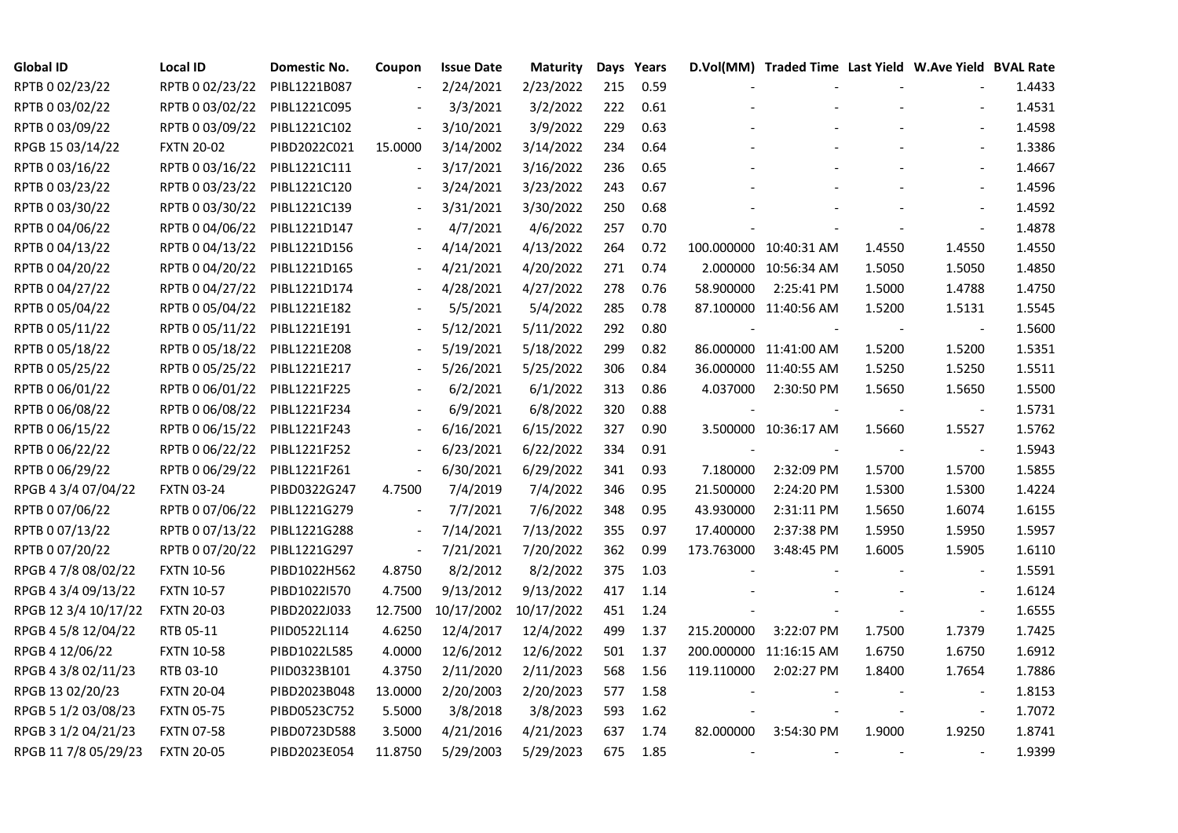| <b>Global ID</b>     | <b>Local ID</b>   | Domestic No. | Coupon                   | <b>Issue Date</b>     | <b>Maturity</b> |     | Days Years |            | D.Vol(MM) Traded Time Last Yield W.Ave Yield BVAL Rate |        |                          |        |
|----------------------|-------------------|--------------|--------------------------|-----------------------|-----------------|-----|------------|------------|--------------------------------------------------------|--------|--------------------------|--------|
| RPTB 0 02/23/22      | RPTB 0 02/23/22   | PIBL1221B087 |                          | 2/24/2021             | 2/23/2022       | 215 | 0.59       |            |                                                        |        |                          | 1.4433 |
| RPTB 0 03/02/22      | RPTB 0 03/02/22   | PIBL1221C095 |                          | 3/3/2021              | 3/2/2022        | 222 | 0.61       |            |                                                        |        |                          | 1.4531 |
| RPTB 0 03/09/22      | RPTB 0 03/09/22   | PIBL1221C102 | $\overline{\phantom{a}}$ | 3/10/2021             | 3/9/2022        | 229 | 0.63       |            |                                                        |        |                          | 1.4598 |
| RPGB 15 03/14/22     | <b>FXTN 20-02</b> | PIBD2022C021 | 15.0000                  | 3/14/2002             | 3/14/2022       | 234 | 0.64       |            |                                                        |        | $\blacksquare$           | 1.3386 |
| RPTB 0 03/16/22      | RPTB 0 03/16/22   | PIBL1221C111 | $\bar{\phantom{a}}$      | 3/17/2021             | 3/16/2022       | 236 | 0.65       |            |                                                        |        |                          | 1.4667 |
| RPTB 0 03/23/22      | RPTB 0 03/23/22   | PIBL1221C120 |                          | 3/24/2021             | 3/23/2022       | 243 | 0.67       |            |                                                        |        |                          | 1.4596 |
| RPTB 0 03/30/22      | RPTB 0 03/30/22   | PIBL1221C139 | $\blacksquare$           | 3/31/2021             | 3/30/2022       | 250 | 0.68       |            |                                                        |        | $\overline{\phantom{a}}$ | 1.4592 |
| RPTB 0 04/06/22      | RPTB 0 04/06/22   | PIBL1221D147 |                          | 4/7/2021              | 4/6/2022        | 257 | 0.70       |            |                                                        |        | $\blacksquare$           | 1.4878 |
| RPTB 0 04/13/22      | RPTB 0 04/13/22   | PIBL1221D156 |                          | 4/14/2021             | 4/13/2022       | 264 | 0.72       |            | 100.000000 10:40:31 AM                                 | 1.4550 | 1.4550                   | 1.4550 |
| RPTB 0 04/20/22      | RPTB 0 04/20/22   | PIBL1221D165 | $\overline{\phantom{a}}$ | 4/21/2021             | 4/20/2022       | 271 | 0.74       |            | 2.000000 10:56:34 AM                                   | 1.5050 | 1.5050                   | 1.4850 |
| RPTB 0 04/27/22      | RPTB 0 04/27/22   | PIBL1221D174 | $\overline{\phantom{a}}$ | 4/28/2021             | 4/27/2022       | 278 | 0.76       | 58.900000  | 2:25:41 PM                                             | 1.5000 | 1.4788                   | 1.4750 |
| RPTB 0 05/04/22      | RPTB 0 05/04/22   | PIBL1221E182 |                          | 5/5/2021              | 5/4/2022        | 285 | 0.78       |            | 87.100000 11:40:56 AM                                  | 1.5200 | 1.5131                   | 1.5545 |
| RPTB 0 05/11/22      | RPTB 0 05/11/22   | PIBL1221E191 |                          | 5/12/2021             | 5/11/2022       | 292 | 0.80       |            |                                                        |        | $\overline{\phantom{a}}$ | 1.5600 |
| RPTB 0 05/18/22      | RPTB 0 05/18/22   | PIBL1221E208 |                          | 5/19/2021             | 5/18/2022       | 299 | 0.82       |            | 86.000000 11:41:00 AM                                  | 1.5200 | 1.5200                   | 1.5351 |
| RPTB 0 05/25/22      | RPTB 0 05/25/22   | PIBL1221E217 |                          | 5/26/2021             | 5/25/2022       | 306 | 0.84       |            | 36.000000 11:40:55 AM                                  | 1.5250 | 1.5250                   | 1.5511 |
| RPTB 0 06/01/22      | RPTB 0 06/01/22   | PIBL1221F225 |                          | 6/2/2021              | 6/1/2022        | 313 | 0.86       | 4.037000   | 2:30:50 PM                                             | 1.5650 | 1.5650                   | 1.5500 |
| RPTB 0 06/08/22      | RPTB 0 06/08/22   | PIBL1221F234 |                          | 6/9/2021              | 6/8/2022        | 320 | 0.88       |            |                                                        |        |                          | 1.5731 |
| RPTB 0 06/15/22      | RPTB 0 06/15/22   | PIBL1221F243 | $\blacksquare$           | 6/16/2021             | 6/15/2022       | 327 | 0.90       |            | 3.500000 10:36:17 AM                                   | 1.5660 | 1.5527                   | 1.5762 |
| RPTB 0 06/22/22      | RPTB 0 06/22/22   | PIBL1221F252 | $\frac{1}{2}$            | 6/23/2021             | 6/22/2022       | 334 | 0.91       |            |                                                        |        | $\overline{\phantom{a}}$ | 1.5943 |
| RPTB 0 06/29/22      | RPTB 0 06/29/22   | PIBL1221F261 | $\blacksquare$           | 6/30/2021             | 6/29/2022       | 341 | 0.93       | 7.180000   | 2:32:09 PM                                             | 1.5700 | 1.5700                   | 1.5855 |
| RPGB 4 3/4 07/04/22  | <b>FXTN 03-24</b> | PIBD0322G247 | 4.7500                   | 7/4/2019              | 7/4/2022        | 346 | 0.95       | 21.500000  | 2:24:20 PM                                             | 1.5300 | 1.5300                   | 1.4224 |
| RPTB 0 07/06/22      | RPTB 0 07/06/22   | PIBL1221G279 |                          | 7/7/2021              | 7/6/2022        | 348 | 0.95       | 43.930000  | 2:31:11 PM                                             | 1.5650 | 1.6074                   | 1.6155 |
| RPTB 0 07/13/22      | RPTB 0 07/13/22   | PIBL1221G288 |                          | 7/14/2021             | 7/13/2022       | 355 | 0.97       | 17.400000  | 2:37:38 PM                                             | 1.5950 | 1.5950                   | 1.5957 |
| RPTB 0 07/20/22      | RPTB 0 07/20/22   | PIBL1221G297 | $\blacksquare$           | 7/21/2021             | 7/20/2022       | 362 | 0.99       | 173.763000 | 3:48:45 PM                                             | 1.6005 | 1.5905                   | 1.6110 |
| RPGB 4 7/8 08/02/22  | <b>FXTN 10-56</b> | PIBD1022H562 | 4.8750                   | 8/2/2012              | 8/2/2022        | 375 | 1.03       |            |                                                        |        | $\overline{\phantom{a}}$ | 1.5591 |
| RPGB 4 3/4 09/13/22  | <b>FXTN 10-57</b> | PIBD1022I570 | 4.7500                   | 9/13/2012             | 9/13/2022       | 417 | 1.14       |            |                                                        |        |                          | 1.6124 |
| RPGB 12 3/4 10/17/22 | <b>FXTN 20-03</b> | PIBD2022J033 | 12.7500                  | 10/17/2002 10/17/2022 |                 | 451 | 1.24       |            |                                                        |        | $\blacksquare$           | 1.6555 |
| RPGB 4 5/8 12/04/22  | RTB 05-11         | PIID0522L114 | 4.6250                   | 12/4/2017             | 12/4/2022       | 499 | 1.37       | 215.200000 | 3:22:07 PM                                             | 1.7500 | 1.7379                   | 1.7425 |
| RPGB 4 12/06/22      | <b>FXTN 10-58</b> | PIBD1022L585 | 4.0000                   | 12/6/2012             | 12/6/2022       | 501 | 1.37       |            | 200.000000 11:16:15 AM                                 | 1.6750 | 1.6750                   | 1.6912 |
| RPGB 4 3/8 02/11/23  | RTB 03-10         | PIID0323B101 | 4.3750                   | 2/11/2020             | 2/11/2023       | 568 | 1.56       | 119.110000 | 2:02:27 PM                                             | 1.8400 | 1.7654                   | 1.7886 |
| RPGB 13 02/20/23     | <b>FXTN 20-04</b> | PIBD2023B048 | 13.0000                  | 2/20/2003             | 2/20/2023       | 577 | 1.58       |            |                                                        |        |                          | 1.8153 |
| RPGB 5 1/2 03/08/23  | <b>FXTN 05-75</b> | PIBD0523C752 | 5.5000                   | 3/8/2018              | 3/8/2023        | 593 | 1.62       |            |                                                        |        | $\overline{\phantom{a}}$ | 1.7072 |
| RPGB 3 1/2 04/21/23  | <b>FXTN 07-58</b> | PIBD0723D588 | 3.5000                   | 4/21/2016             | 4/21/2023       | 637 | 1.74       | 82.000000  | 3:54:30 PM                                             | 1.9000 | 1.9250                   | 1.8741 |
| RPGB 11 7/8 05/29/23 | <b>FXTN 20-05</b> | PIBD2023E054 | 11.8750                  | 5/29/2003             | 5/29/2023       | 675 | 1.85       |            |                                                        |        |                          | 1.9399 |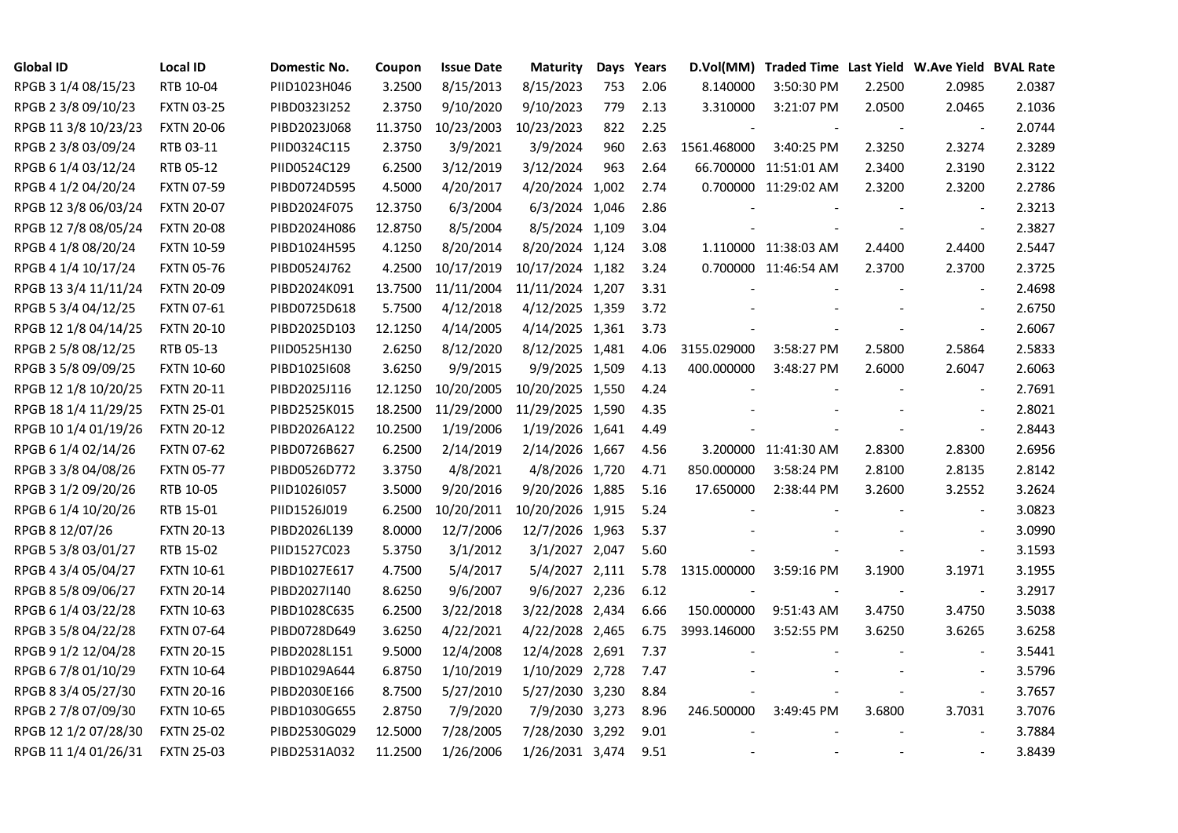| <b>Global ID</b>     | <b>Local ID</b>   | Domestic No. | Coupon  | <b>Issue Date</b> | <b>Maturity</b>  |     | Days Years | D.Vol(MM)   | Traded Time Last Yield W.Ave Yield BVAL Rate |                |                          |        |
|----------------------|-------------------|--------------|---------|-------------------|------------------|-----|------------|-------------|----------------------------------------------|----------------|--------------------------|--------|
| RPGB 3 1/4 08/15/23  | RTB 10-04         | PIID1023H046 | 3.2500  | 8/15/2013         | 8/15/2023        | 753 | 2.06       | 8.140000    | 3:50:30 PM                                   | 2.2500         | 2.0985                   | 2.0387 |
| RPGB 2 3/8 09/10/23  | <b>FXTN 03-25</b> | PIBD0323I252 | 2.3750  | 9/10/2020         | 9/10/2023        | 779 | 2.13       | 3.310000    | 3:21:07 PM                                   | 2.0500         | 2.0465                   | 2.1036 |
| RPGB 11 3/8 10/23/23 | <b>FXTN 20-06</b> | PIBD2023J068 | 11.3750 | 10/23/2003        | 10/23/2023       | 822 | 2.25       |             |                                              | $\sim$         | $\blacksquare$           | 2.0744 |
| RPGB 2 3/8 03/09/24  | RTB 03-11         | PIID0324C115 | 2.3750  | 3/9/2021          | 3/9/2024         | 960 | 2.63       | 1561.468000 | 3:40:25 PM                                   | 2.3250         | 2.3274                   | 2.3289 |
| RPGB 6 1/4 03/12/24  | RTB 05-12         | PIID0524C129 | 6.2500  | 3/12/2019         | 3/12/2024        | 963 | 2.64       |             | 66.700000 11:51:01 AM                        | 2.3400         | 2.3190                   | 2.3122 |
| RPGB 4 1/2 04/20/24  | <b>FXTN 07-59</b> | PIBD0724D595 | 4.5000  | 4/20/2017         | 4/20/2024 1,002  |     | 2.74       |             | 0.700000 11:29:02 AM                         | 2.3200         | 2.3200                   | 2.2786 |
| RPGB 12 3/8 06/03/24 | <b>FXTN 20-07</b> | PIBD2024F075 | 12.3750 | 6/3/2004          | 6/3/2024 1,046   |     | 2.86       |             |                                              |                | $\overline{\phantom{a}}$ | 2.3213 |
| RPGB 12 7/8 08/05/24 | <b>FXTN 20-08</b> | PIBD2024H086 | 12.8750 | 8/5/2004          | 8/5/2024 1,109   |     | 3.04       |             |                                              |                | $\overline{\phantom{a}}$ | 2.3827 |
| RPGB 4 1/8 08/20/24  | <b>FXTN 10-59</b> | PIBD1024H595 | 4.1250  | 8/20/2014         | 8/20/2024 1,124  |     | 3.08       |             | 1.110000 11:38:03 AM                         | 2.4400         | 2.4400                   | 2.5447 |
| RPGB 4 1/4 10/17/24  | <b>FXTN 05-76</b> | PIBD0524J762 | 4.2500  | 10/17/2019        | 10/17/2024 1,182 |     | 3.24       |             | 0.700000 11:46:54 AM                         | 2.3700         | 2.3700                   | 2.3725 |
| RPGB 13 3/4 11/11/24 | <b>FXTN 20-09</b> | PIBD2024K091 | 13.7500 | 11/11/2004        | 11/11/2024 1,207 |     | 3.31       |             |                                              |                | $\blacksquare$           | 2.4698 |
| RPGB 5 3/4 04/12/25  | FXTN 07-61        | PIBD0725D618 | 5.7500  | 4/12/2018         | 4/12/2025 1,359  |     | 3.72       |             |                                              |                | $\blacksquare$           | 2.6750 |
| RPGB 12 1/8 04/14/25 | <b>FXTN 20-10</b> | PIBD2025D103 | 12.1250 | 4/14/2005         | 4/14/2025 1,361  |     | 3.73       |             |                                              |                | $\omega$                 | 2.6067 |
| RPGB 2 5/8 08/12/25  | RTB 05-13         | PIID0525H130 | 2.6250  | 8/12/2020         | 8/12/2025 1,481  |     | 4.06       | 3155.029000 | 3:58:27 PM                                   | 2.5800         | 2.5864                   | 2.5833 |
| RPGB 3 5/8 09/09/25  | <b>FXTN 10-60</b> | PIBD10251608 | 3.6250  | 9/9/2015          | 9/9/2025 1,509   |     | 4.13       | 400.000000  | 3:48:27 PM                                   | 2.6000         | 2.6047                   | 2.6063 |
| RPGB 12 1/8 10/20/25 | <b>FXTN 20-11</b> | PIBD2025J116 | 12.1250 | 10/20/2005        | 10/20/2025 1,550 |     | 4.24       |             |                                              |                |                          | 2.7691 |
| RPGB 18 1/4 11/29/25 | <b>FXTN 25-01</b> | PIBD2525K015 | 18.2500 | 11/29/2000        | 11/29/2025 1,590 |     | 4.35       |             |                                              |                | $\overline{\phantom{a}}$ | 2.8021 |
| RPGB 10 1/4 01/19/26 | <b>FXTN 20-12</b> | PIBD2026A122 | 10.2500 | 1/19/2006         | 1/19/2026 1,641  |     | 4.49       |             |                                              |                | $\bar{\phantom{a}}$      | 2.8443 |
| RPGB 6 1/4 02/14/26  | <b>FXTN 07-62</b> | PIBD0726B627 | 6.2500  | 2/14/2019         | 2/14/2026 1,667  |     | 4.56       |             | 3.200000 11:41:30 AM                         | 2.8300         | 2.8300                   | 2.6956 |
| RPGB 3 3/8 04/08/26  | <b>FXTN 05-77</b> | PIBD0526D772 | 3.3750  | 4/8/2021          | 4/8/2026 1,720   |     | 4.71       | 850.000000  | 3:58:24 PM                                   | 2.8100         | 2.8135                   | 2.8142 |
| RPGB 3 1/2 09/20/26  | RTB 10-05         | PIID1026I057 | 3.5000  | 9/20/2016         | 9/20/2026 1,885  |     | 5.16       | 17.650000   | 2:38:44 PM                                   | 3.2600         | 3.2552                   | 3.2624 |
| RPGB 6 1/4 10/20/26  | RTB 15-01         | PIID1526J019 | 6.2500  | 10/20/2011        | 10/20/2026 1,915 |     | 5.24       |             |                                              |                | $\sim$                   | 3.0823 |
| RPGB 8 12/07/26      | <b>FXTN 20-13</b> | PIBD2026L139 | 8.0000  | 12/7/2006         | 12/7/2026 1,963  |     | 5.37       |             |                                              |                |                          | 3.0990 |
| RPGB 5 3/8 03/01/27  | RTB 15-02         | PIID1527C023 | 5.3750  | 3/1/2012          | 3/1/2027 2,047   |     | 5.60       |             |                                              |                | $\overline{\phantom{a}}$ | 3.1593 |
| RPGB 4 3/4 05/04/27  | <b>FXTN 10-61</b> | PIBD1027E617 | 4.7500  | 5/4/2017          | 5/4/2027 2,111   |     | 5.78       | 1315.000000 | 3:59:16 PM                                   | 3.1900         | 3.1971                   | 3.1955 |
| RPGB 8 5/8 09/06/27  | <b>FXTN 20-14</b> | PIBD2027I140 | 8.6250  | 9/6/2007          | 9/6/2027 2,236   |     | 6.12       |             |                                              |                | $\blacksquare$           | 3.2917 |
| RPGB 6 1/4 03/22/28  | <b>FXTN 10-63</b> | PIBD1028C635 | 6.2500  | 3/22/2018         | 3/22/2028 2,434  |     | 6.66       | 150.000000  | 9:51:43 AM                                   | 3.4750         | 3.4750                   | 3.5038 |
| RPGB 3 5/8 04/22/28  | <b>FXTN 07-64</b> | PIBD0728D649 | 3.6250  | 4/22/2021         | 4/22/2028 2,465  |     | 6.75       | 3993.146000 | 3:52:55 PM                                   | 3.6250         | 3.6265                   | 3.6258 |
| RPGB 9 1/2 12/04/28  | <b>FXTN 20-15</b> | PIBD2028L151 | 9.5000  | 12/4/2008         | 12/4/2028 2,691  |     | 7.37       |             |                                              |                |                          | 3.5441 |
| RPGB 67/8 01/10/29   | <b>FXTN 10-64</b> | PIBD1029A644 | 6.8750  | 1/10/2019         | 1/10/2029 2,728  |     | 7.47       |             |                                              |                | $\sim$                   | 3.5796 |
| RPGB 8 3/4 05/27/30  | <b>FXTN 20-16</b> | PIBD2030E166 | 8.7500  | 5/27/2010         | 5/27/2030 3,230  |     | 8.84       |             |                                              |                | $\overline{\phantom{a}}$ | 3.7657 |
| RPGB 2 7/8 07/09/30  | <b>FXTN 10-65</b> | PIBD1030G655 | 2.8750  | 7/9/2020          | 7/9/2030 3,273   |     | 8.96       | 246.500000  | 3:49:45 PM                                   | 3.6800         | 3.7031                   | 3.7076 |
| RPGB 12 1/2 07/28/30 | <b>FXTN 25-02</b> | PIBD2530G029 | 12.5000 | 7/28/2005         | 7/28/2030 3,292  |     | 9.01       |             |                                              |                |                          | 3.7884 |
| RPGB 11 1/4 01/26/31 | <b>FXTN 25-03</b> | PIBD2531A032 | 11.2500 | 1/26/2006         | 1/26/2031 3,474  |     | 9.51       |             |                                              | $\blacksquare$ | $\sim$                   | 3.8439 |